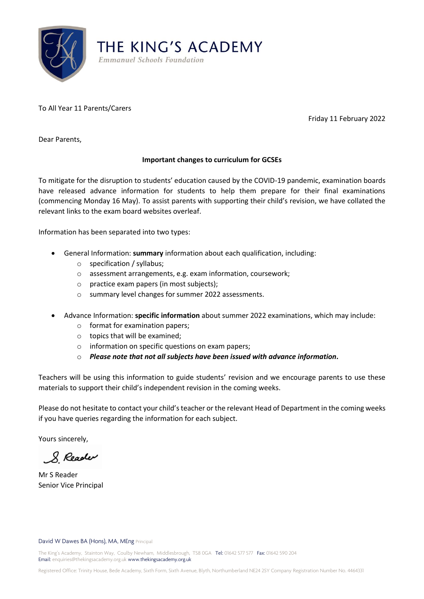

THE KING'S ACADEMY **Emmanuel Schools Foundation** 

To All Year 11 Parents/Carers

Friday 11 February 2022

Dear Parents,

## **Important changes to curriculum for GCSEs**

To mitigate for the disruption to students' education caused by the COVID-19 pandemic, examination boards have released advance information for students to help them prepare for their final examinations (commencing Monday 16 May). To assist parents with supporting their child's revision, we have collated the relevant links to the exam board websites overleaf.

Information has been separated into two types:

- General Information: **summary** information about each qualification, including:
	- o specification / syllabus;
	- o assessment arrangements, e.g. exam information, coursework;
	- o practice exam papers (in most subjects);
	- o summary level changes for summer 2022 assessments.
- Advance Information: **specific information** about summer 2022 examinations, which may include:
	- o format for examination papers;
	- o topics that will be examined;
	- o information on specific questions on exam papers;
	- o *Please note that not all subjects have been issued with advance information.*

Teachers will be using this information to guide students' revision and we encourage parents to use these materials to support their child's independent revision in the coming weeks.

Please do not hesitate to contact your child's teacher or the relevant Head of Department in the coming weeks if you have queries regarding the information for each subject.

Yours sincerely,

& Reader

Mr S Reader Senior Vice Principal

## David W Dawes BA (Hons), MA, MEng Principal

The King's Academy, Stainton Way, Coulby Newham, Middlesbrough, TS8 0GA Tel: 01642 577 577 Fax: 01642 590 204 Email: enquiries@thekingsacademy.org.uk www.thekingsacademy.org.uk

Registered Office: Trinity House, Bede Academy, Sixth Form, Sixth Avenue, Blyth, Northumberland NE24 2SY Company Registration Number No. 4464331